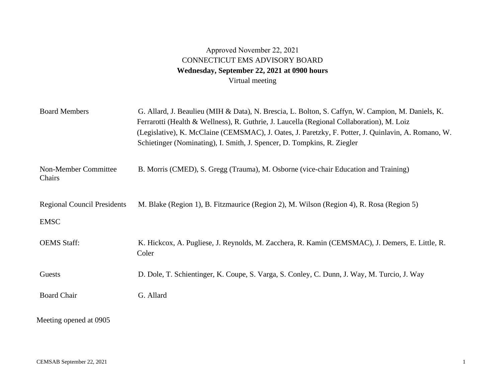## Approved November 22, 2021 CONNECTICUT EMS ADVISORY BOARD **Wednesday, September 22, 2021 at 0900 hours**  Virtual meeting

| <b>Board Members</b>                              | G. Allard, J. Beaulieu (MIH & Data), N. Brescia, L. Bolton, S. Caffyn, W. Campion, M. Daniels, K.<br>Ferrarotti (Health & Wellness), R. Guthrie, J. Laucella (Regional Collaboration), M. Loiz<br>(Legislative), K. McClaine (CEMSMAC), J. Oates, J. Paretzky, F. Potter, J. Quinlavin, A. Romano, W.<br>Schietinger (Nominating), I. Smith, J. Spencer, D. Tompkins, R. Ziegler |
|---------------------------------------------------|----------------------------------------------------------------------------------------------------------------------------------------------------------------------------------------------------------------------------------------------------------------------------------------------------------------------------------------------------------------------------------|
| Non-Member Committee<br>Chairs                    | B. Morris (CMED), S. Gregg (Trauma), M. Osborne (vice-chair Education and Training)                                                                                                                                                                                                                                                                                              |
| <b>Regional Council Presidents</b><br><b>EMSC</b> | M. Blake (Region 1), B. Fitzmaurice (Region 2), M. Wilson (Region 4), R. Rosa (Region 5)                                                                                                                                                                                                                                                                                         |
| <b>OEMS</b> Staff:                                | K. Hickcox, A. Pugliese, J. Reynolds, M. Zacchera, R. Kamin (CEMSMAC), J. Demers, E. Little, R.<br>Coler                                                                                                                                                                                                                                                                         |
| Guests                                            | D. Dole, T. Schientinger, K. Coupe, S. Varga, S. Conley, C. Dunn, J. Way, M. Turcio, J. Way                                                                                                                                                                                                                                                                                      |
| <b>Board Chair</b>                                | G. Allard                                                                                                                                                                                                                                                                                                                                                                        |
| Meeting opened at 0905                            |                                                                                                                                                                                                                                                                                                                                                                                  |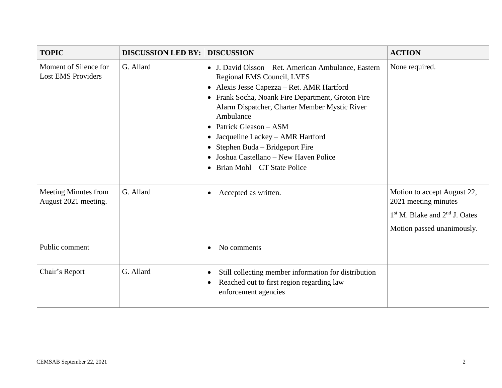| <b>TOPIC</b>                                       | <b>DISCUSSION LED BY:</b> | <b>DISCUSSION</b>                                                                                                                                                                                                                                                                                                                                                                                                                                                                     | <b>ACTION</b>                                                                                                          |
|----------------------------------------------------|---------------------------|---------------------------------------------------------------------------------------------------------------------------------------------------------------------------------------------------------------------------------------------------------------------------------------------------------------------------------------------------------------------------------------------------------------------------------------------------------------------------------------|------------------------------------------------------------------------------------------------------------------------|
| Moment of Silence for<br><b>Lost EMS Providers</b> | G. Allard                 | J. David Olsson – Ret. American Ambulance, Eastern<br>$\bullet$<br>Regional EMS Council, LVES<br>Alexis Jesse Capezza - Ret. AMR Hartford<br>$\bullet$<br>Frank Socha, Noank Fire Department, Groton Fire<br>$\bullet$<br>Alarm Dispatcher, Charter Member Mystic River<br>Ambulance<br>Patrick Gleason - ASM<br>Jacqueline Lackey - AMR Hartford<br>$\bullet$<br>Stephen Buda – Bridgeport Fire<br>Joshua Castellano – New Haven Police<br>Brian Mohl – CT State Police<br>$\bullet$ | None required.                                                                                                         |
| Meeting Minutes from<br>August 2021 meeting.       | G. Allard                 | Accepted as written.<br>$\bullet$                                                                                                                                                                                                                                                                                                                                                                                                                                                     | Motion to accept August 22,<br>2021 meeting minutes<br>$1st$ M. Blake and $2nd$ J. Oates<br>Motion passed unanimously. |
| Public comment                                     |                           | No comments<br>$\bullet$                                                                                                                                                                                                                                                                                                                                                                                                                                                              |                                                                                                                        |
| Chair's Report                                     | G. Allard                 | Still collecting member information for distribution<br>$\bullet$<br>Reached out to first region regarding law<br>$\bullet$<br>enforcement agencies                                                                                                                                                                                                                                                                                                                                   |                                                                                                                        |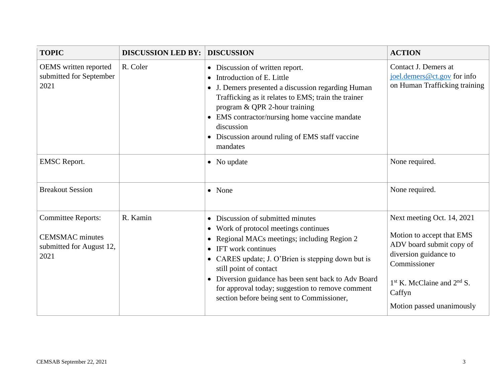| <b>TOPIC</b>                                                                            | <b>DISCUSSION LED BY:</b> | <b>DISCUSSION</b>                                                                                                                                                                                                                                                                                                                                                                                                         | <b>ACTION</b>                                                                                                                                                                                         |
|-----------------------------------------------------------------------------------------|---------------------------|---------------------------------------------------------------------------------------------------------------------------------------------------------------------------------------------------------------------------------------------------------------------------------------------------------------------------------------------------------------------------------------------------------------------------|-------------------------------------------------------------------------------------------------------------------------------------------------------------------------------------------------------|
| OEMS written reported<br>submitted for September<br>2021                                | R. Coler                  | • Discussion of written report.<br>Introduction of E. Little<br>$\bullet$<br>J. Demers presented a discussion regarding Human<br>Trafficking as it relates to EMS; train the trainer<br>program & QPR 2-hour training<br>EMS contractor/nursing home vaccine mandate<br>discussion<br>Discussion around ruling of EMS staff vaccine<br>mandates                                                                           | Contact J. Demers at<br>joel.demers@ct.gov for info<br>on Human Trafficking training                                                                                                                  |
| <b>EMSC</b> Report.                                                                     |                           | • No update                                                                                                                                                                                                                                                                                                                                                                                                               | None required.                                                                                                                                                                                        |
| <b>Breakout Session</b>                                                                 |                           | • None                                                                                                                                                                                                                                                                                                                                                                                                                    | None required.                                                                                                                                                                                        |
| <b>Committee Reports:</b><br><b>CEMSMAC</b> minutes<br>submitted for August 12,<br>2021 | R. Kamin                  | Discussion of submitted minutes<br>$\bullet$<br>Work of protocol meetings continues<br>$\bullet$<br>Regional MACs meetings; including Region 2<br>IFT work continues<br>$\bullet$<br>• CARES update; J. O'Brien is stepping down but is<br>still point of contact<br>Diversion guidance has been sent back to Adv Board<br>for approval today; suggestion to remove comment<br>section before being sent to Commissioner, | Next meeting Oct. 14, 2021<br>Motion to accept that EMS<br>ADV board submit copy of<br>diversion guidance to<br>Commissioner<br>$1st$ K. McClaine and $2nd$ S.<br>Caffyn<br>Motion passed unanimously |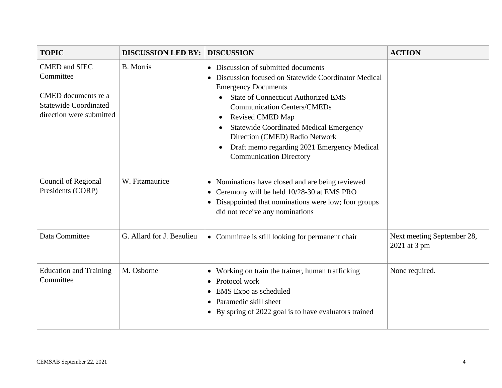| <b>TOPIC</b>                                                                                                         | <b>DISCUSSION LED BY:</b> | <b>DISCUSSION</b>                                                                                                                                                                                                                                                                                                                                                                                                                                                           | <b>ACTION</b>                              |
|----------------------------------------------------------------------------------------------------------------------|---------------------------|-----------------------------------------------------------------------------------------------------------------------------------------------------------------------------------------------------------------------------------------------------------------------------------------------------------------------------------------------------------------------------------------------------------------------------------------------------------------------------|--------------------------------------------|
| <b>CMED</b> and SIEC<br>Committee<br>CMED documents re a<br><b>Statewide Coordinated</b><br>direction were submitted | <b>B.</b> Morris          | Discussion of submitted documents<br>$\bullet$<br>Discussion focused on Statewide Coordinator Medical<br><b>Emergency Documents</b><br><b>State of Connecticut Authorized EMS</b><br>$\bullet$<br><b>Communication Centers/CMEDs</b><br><b>Revised CMED Map</b><br>$\bullet$<br><b>Statewide Coordinated Medical Emergency</b><br>$\bullet$<br>Direction (CMED) Radio Network<br>Draft memo regarding 2021 Emergency Medical<br>$\bullet$<br><b>Communication Directory</b> |                                            |
| Council of Regional<br>Presidents (CORP)                                                                             | W. Fitzmaurice            | Nominations have closed and are being reviewed<br>$\bullet$<br>Ceremony will be held 10/28-30 at EMS PRO<br>$\bullet$<br>Disappointed that nominations were low; four groups<br>did not receive any nominations                                                                                                                                                                                                                                                             |                                            |
| Data Committee                                                                                                       | G. Allard for J. Beaulieu | • Committee is still looking for permanent chair                                                                                                                                                                                                                                                                                                                                                                                                                            | Next meeting September 28,<br>2021 at 3 pm |
| <b>Education and Training</b><br>Committee                                                                           | M. Osborne                | Working on train the trainer, human trafficking<br>$\bullet$<br>Protocol work<br>$\bullet$<br>EMS Expo as scheduled<br>Paramedic skill sheet<br>By spring of 2022 goal is to have evaluators trained                                                                                                                                                                                                                                                                        | None required.                             |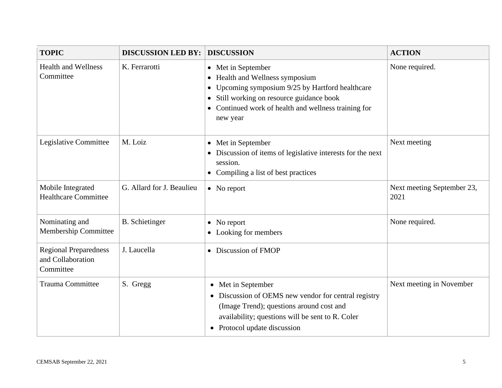| <b>TOPIC</b>                                                   | <b>DISCUSSION LED BY:</b> | <b>DISCUSSION</b>                                                                                                                                                                                                                                                      | <b>ACTION</b>                      |
|----------------------------------------------------------------|---------------------------|------------------------------------------------------------------------------------------------------------------------------------------------------------------------------------------------------------------------------------------------------------------------|------------------------------------|
| <b>Health and Wellness</b><br>Committee                        | K. Ferrarotti             | • Met in September<br>Health and Wellness symposium<br>$\bullet$<br>Upcoming symposium 9/25 by Hartford healthcare<br>$\bullet$<br>Still working on resource guidance book<br>$\bullet$<br>Continued work of health and wellness training for<br>$\bullet$<br>new year | None required.                     |
| Legislative Committee                                          | M. Loiz                   | • Met in September<br>Discussion of items of legislative interests for the next<br>session.<br>• Compiling a list of best practices                                                                                                                                    | Next meeting                       |
| Mobile Integrated<br><b>Healthcare Committee</b>               | G. Allard for J. Beaulieu | $\bullet$ No report                                                                                                                                                                                                                                                    | Next meeting September 23,<br>2021 |
| Nominating and<br><b>Membership Committee</b>                  | <b>B.</b> Schietinger     | $\bullet$ No report<br>• Looking for members                                                                                                                                                                                                                           | None required.                     |
| <b>Regional Preparedness</b><br>and Collaboration<br>Committee | J. Laucella               | • Discussion of FMOP                                                                                                                                                                                                                                                   |                                    |
| <b>Trauma Committee</b>                                        | S. Gregg                  | • Met in September<br>• Discussion of OEMS new vendor for central registry<br>(Image Trend); questions around cost and<br>availability; questions will be sent to R. Coler<br>• Protocol update discussion                                                             | Next meeting in November           |